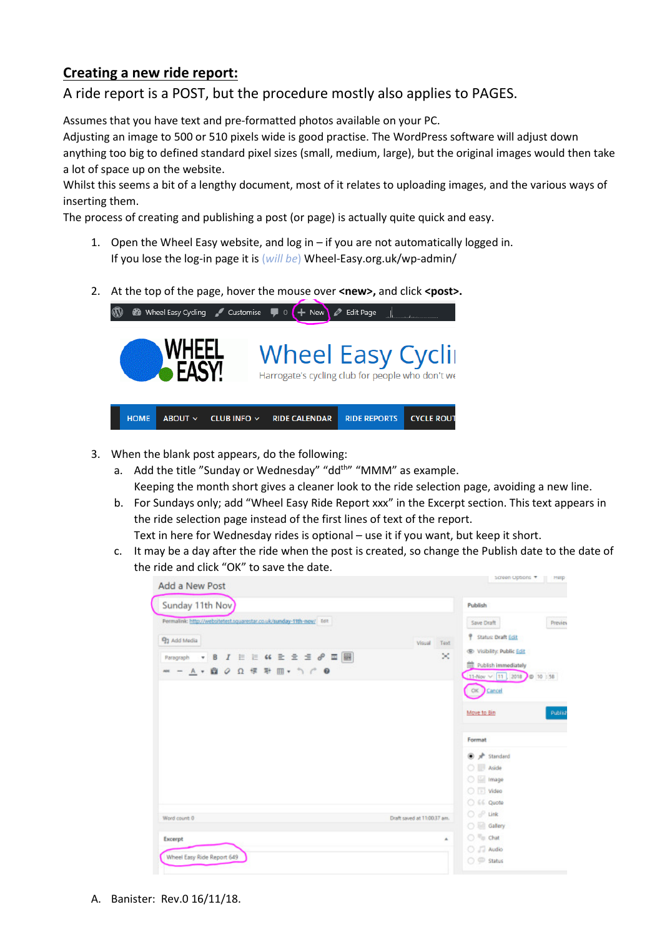## **Creating a new ride report:**

## A ride report is a POST, but the procedure mostly also applies to PAGES.

Assumes that you have text and pre-formatted photos available on your PC.

Adjusting an image to 500 or 510 pixels wide is good practise. The WordPress software will adjust down anything too big to defined standard pixel sizes (small, medium, large), but the original images would then take a lot of space up on the website.

Whilst this seems a bit of a lengthy document, most of it relates to uploading images, and the various ways of inserting them.

The process of creating and publishing a post (or page) is actually quite quick and easy.

- 1. Open the Wheel Easy website, and log in if you are not automatically logged in. If you lose the log-in page it is (*will be*) Wheel-Easy.org.uk/wp-admin/
- 2. At the top of the page, hover the mouse over **<new>,** and click **<post>.**



- 3. When the blank post appears, do the following:
	- a. Add the title "Sunday or Wednesday" "dd<sup>th"</sup> "MMM" as example. Keeping the month short gives a cleaner look to the ride selection page, avoiding a new line.
	- b. For Sundays only; add "Wheel Easy Ride Report xxx" in the Excerpt section. This text appears in the ride selection page instead of the first lines of text of the report.

Text in here for Wednesday rides is optional – use it if you want, but keep it short.

c. It may be a day after the ride when the post is created, so change the Publish date to the date of the ride and click "OK" to save the date.

| Sunday 11th Nov)                                                                                                                                                                                                                               | Publish                                                                                                                                                                 |
|------------------------------------------------------------------------------------------------------------------------------------------------------------------------------------------------------------------------------------------------|-------------------------------------------------------------------------------------------------------------------------------------------------------------------------|
| Permalink: http://websitetest.squarestar.co.uk/sunday-11th-nov/ Edit<br>91 Add Media<br>Paragraph $\bullet$ <b>B</b> $I \equiv \equiv$ <b>44</b> $\equiv$ $\equiv$ $\equiv$ $\mathcal{O}$ $\equiv$ $\mathbb{H}$<br>- - A · 自 O Ω 学 孕 回 · つ C ● | Save Draft<br>Preview<br><sup>9</sup> Status: Draft Edit<br>Visual<br>Text<br>® Visibility: Public Edit<br>×<br><b>Publish immediately</b><br>11-Nov ~ 11 2018 0 10 :58 |
|                                                                                                                                                                                                                                                | ox Cancel<br>Publish<br>Move to Bin<br>Format                                                                                                                           |
|                                                                                                                                                                                                                                                | <b>■ </b> Standard<br><b>B</b> Aside<br><b>O</b> Sill Image<br>$\bigcirc$ $\Box$ Video<br>C 66 Quote                                                                    |
| Word count: 0                                                                                                                                                                                                                                  | $O \mathcal{P}$ Link<br>Draft saved at 11:00:37 am.<br><b>C Gallery</b>                                                                                                 |
|                                                                                                                                                                                                                                                | <sup>T</sup> in Chat<br>×.                                                                                                                                              |

A. Banister: Rev.0 16/11/18.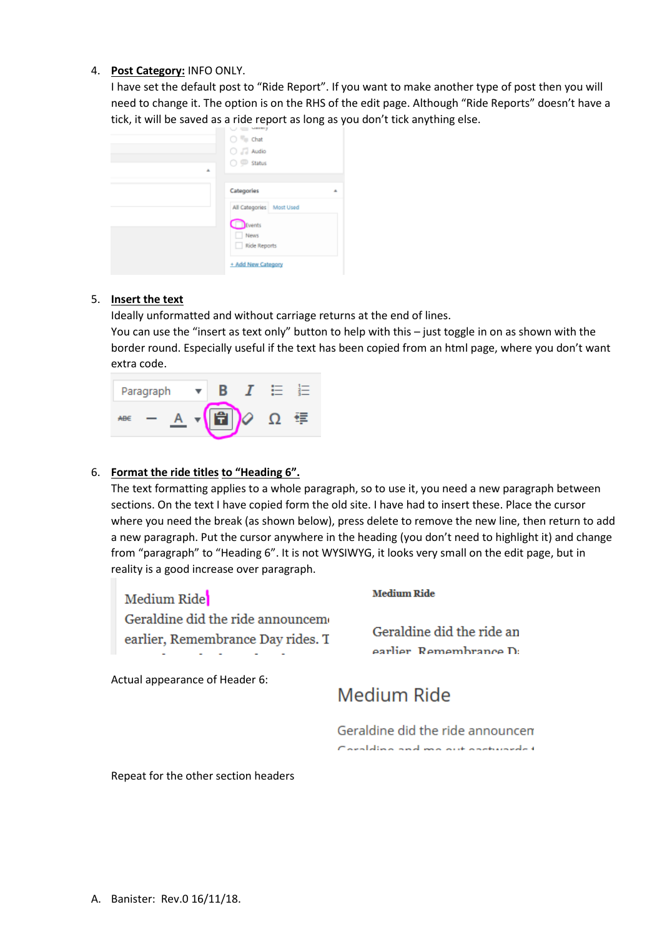#### 4. **Post Category:** INFO ONLY.

I have set the default post to "Ride Report". If you want to make another type of post then you will need to change it. The option is on the RHS of the edit page. Although "Ride Reports" doesn't have a tick, it will be saved as a ride report as long as you don't tick anything else.

| ×. | ___<br>$\bigcirc$ $\overline{\gamma}$ Chat<br>O Ja Audio<br>$\bigcirc$ $\subseteq$ Status      |
|----|------------------------------------------------------------------------------------------------|
|    | Categories<br>All Categories Most Used<br>Events<br>News<br>Ride Reports<br>+ Add New Category |

#### 5. **Insert the text**

Ideally unformatted and without carriage returns at the end of lines.

You can use the "insert as text only" button to help with this – just toggle in on as shown with the border round. Especially useful if the text has been copied from an html page, where you don't want extra code.

| Paragraph |  |  |             |  |  |
|-----------|--|--|-------------|--|--|
|           |  |  | <b>H</b> IO |  |  |

#### 6. **Format the ride titles to "Heading 6".**

The text formatting applies to a whole paragraph, so to use it, you need a new paragraph between sections. On the text I have copied form the old site. I have had to insert these. Place the cursor where you need the break (as shown below), press delete to remove the new line, then return to add a new paragraph. Put the cursor anywhere in the heading (you don't need to highlight it) and change from "paragraph" to "Heading 6". It is not WYSIWYG, it looks very small on the edit page, but in reality is a good increase over paragraph.

**Medium Ride** Medium Ridel Geraldine did the ride announceme earlier, Remembrance Dav rides. T

Geraldine did the ride an

earlier Remembrance D:

Actual appearance of Header 6:

# Medium Ride

Geraldine did the ride announcen Corolaling and mo out opetureday

Repeat for the other section headers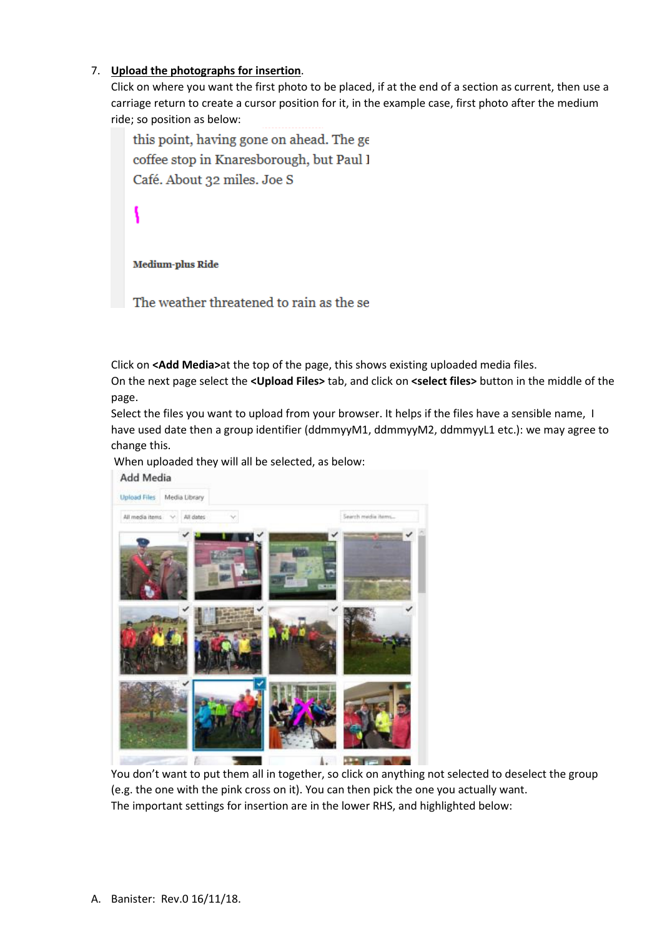### 7. **Upload the photographs for insertion**.

Click on where you want the first photo to be placed, if at the end of a section as current, then use a carriage return to create a cursor position for it, in the example case, first photo after the medium ride; so position as below:

this point, having gone on ahead. The ge coffee stop in Knaresborough, but Paul I Café. About 32 miles. Joe S

**Medium-plus Ride** 

The weather threatened to rain as the se

Click on **<Add Media>**at the top of the page, this shows existing uploaded media files.

On the next page select the **<Upload Files>** tab, and click on **<select files>** button in the middle of the page.

Select the files you want to upload from your browser. It helps if the files have a sensible name, I have used date then a group identifier (ddmmyyM1, ddmmyyM2, ddmmyyL1 etc.): we may agree to change this.

When uploaded they will all be selected, as below:





You don't want to put them all in together, so click on anything not selected to deselect the group (e.g. the one with the pink cross on it). You can then pick the one you actually want. The important settings for insertion are in the lower RHS, and highlighted below: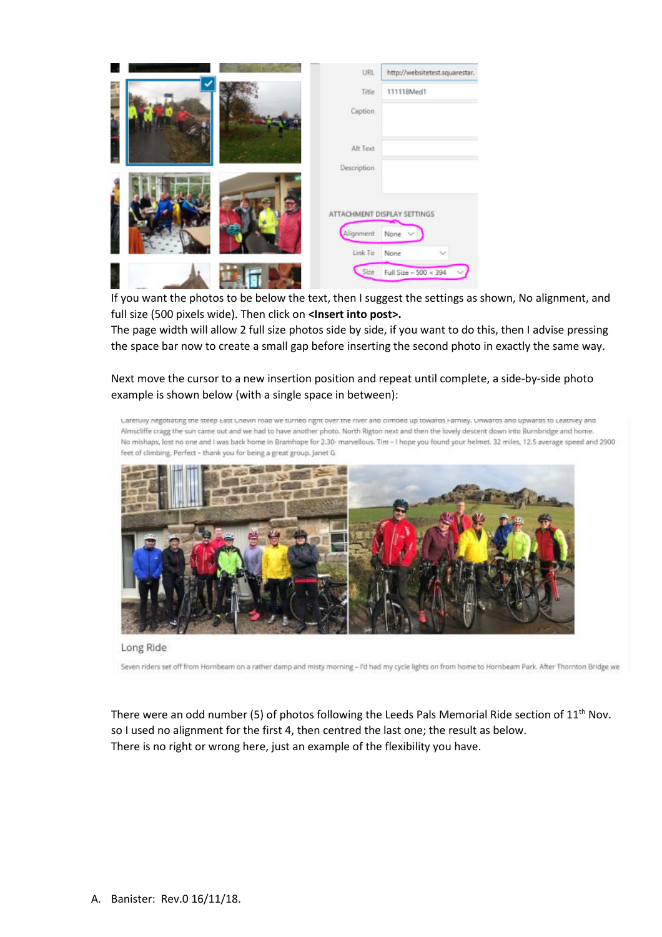|  | URL                  | http://websitetest.squarestar. |
|--|----------------------|--------------------------------|
|  | Title                | 111118Med1                     |
|  | Caption              |                                |
|  | Alt Text             |                                |
|  | Description          |                                |
|  |                      | ATTACHMENT DISPLAY SETTINGS    |
|  | Alignment<br>Link To | None \<br>None<br>$\sim$       |
|  | Size                 | Full Size - 500 × 394          |

If you want the photos to be below the text, then I suggest the settings as shown, No alignment, and full size (500 pixels wide). Then click on **<Insert into post>.**

The page width will allow 2 full size photos side by side, if you want to do this, then I advise pressing the space bar now to create a small gap before inserting the second photo in exactly the same way.

Next move the cursor to a new insertion position and repeat until complete, a side-by-side photo example is shown below (with a single space in between):

Laretury negotiating the steep east unevin road we turned right over the river and cirmbed up towards Farniey. Unwards and upwards to Leathiey and Almscliffe cragg the sun came out and we had to have another photo. North Rigton next and then the lovely descent down into Burnbridge and home. No mishaps, lost no one and I was back home in Bramhope for 2.30- marvellous. Tim - I hope you found your helmet. 32 miles, 12.5 average speed and 2900 feet of climbing. Perfect - thank you for being a great group. Janet G



Long Ride

Seven riders set off from Hornbeam on a rather damp and misty morning - I'd had my cycle lights on from home to Hornbeam Park. After Thornton Bridge we

There were an odd number (5) of photos following the Leeds Pals Memorial Ride section of 11<sup>th</sup> Nov. so I used no alignment for the first 4, then centred the last one; the result as below. There is no right or wrong here, just an example of the flexibility you have.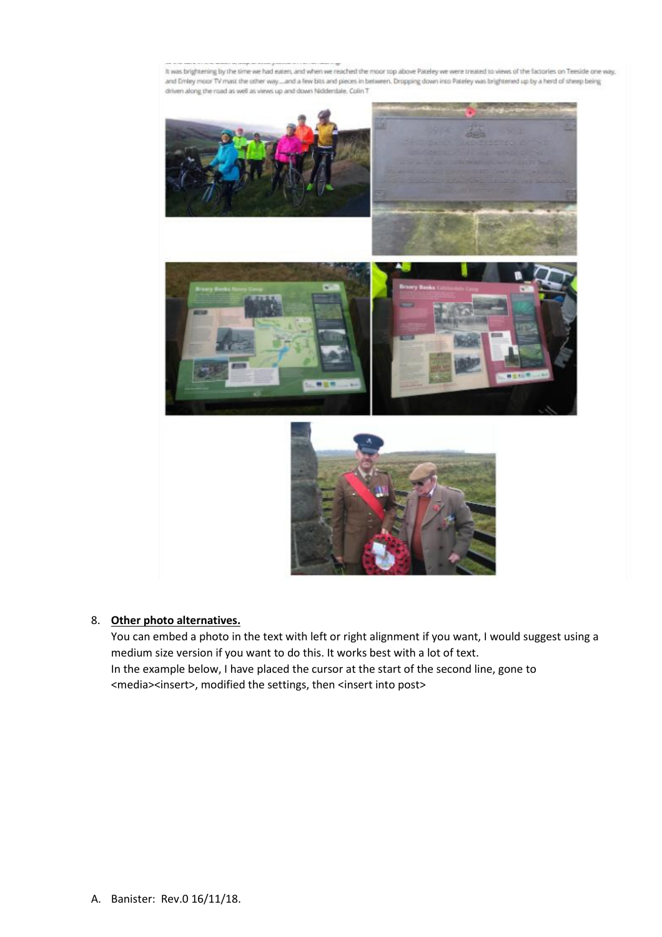

#### 8. **Other photo alternatives.**

You can embed a photo in the text with left or right alignment if you want, I would suggest using a medium size version if you want to do this. It works best with a lot of text. In the example below, I have placed the cursor at the start of the second line, gone to <media><insert>, modified the settings, then <insert into post>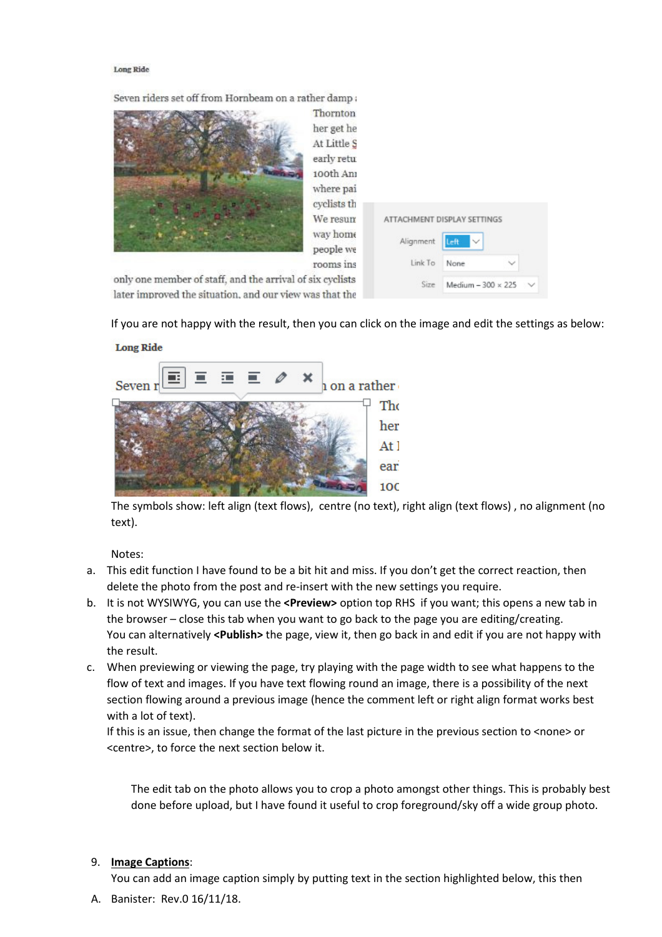#### Long Ride

Seven riders set off from Hornbeam on a rather damp :



Thornton her get he At Little S early retu 100th Ani where pai cyclists th We resun way home people we rooms ins

|              | ATTACHMENT DISPLAY SETTINGS |
|--------------|-----------------------------|
| Alignment    | Left<br>$\checkmark$        |
| Link To None |                             |

only one member of staff, and the arrival of six cyclists later improved the situation, and our view was that the

If you are not happy with the result, then you can click on the image and edit the settings as below:



The symbols show: left align (text flows), centre (no text), right align (text flows) , no alignment (no text).

Notes:

- a. This edit function I have found to be a bit hit and miss. If you don't get the correct reaction, then delete the photo from the post and re-insert with the new settings you require.
- b. It is not WYSIWYG, you can use the **<Preview>** option top RHS if you want; this opens a new tab in the browser – close this tab when you want to go back to the page you are editing/creating. You can alternatively **<Publish>** the page, view it, then go back in and edit if you are not happy with the result.
- c. When previewing or viewing the page, try playing with the page width to see what happens to the flow of text and images. If you have text flowing round an image, there is a possibility of the next section flowing around a previous image (hence the comment left or right align format works best with a lot of text).

If this is an issue, then change the format of the last picture in the previous section to <none> or <centre>, to force the next section below it.

The edit tab on the photo allows you to crop a photo amongst other things. This is probably best done before upload, but I have found it useful to crop foreground/sky off a wide group photo.

#### 9. **Image Captions**:

You can add an image caption simply by putting text in the section highlighted below, this then

A. Banister: Rev.0 16/11/18.

#### **Long Ride**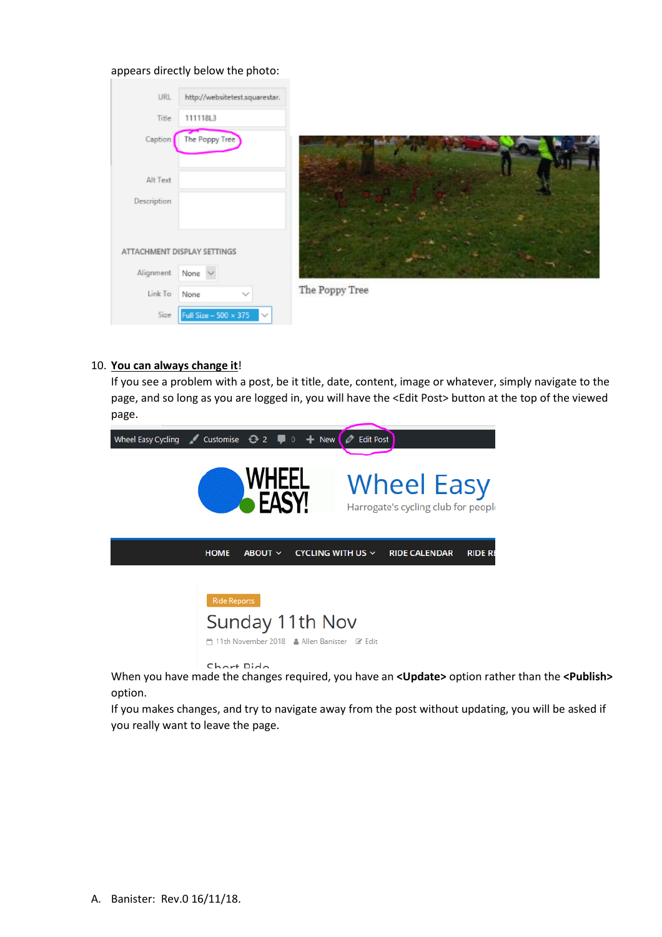#### appears directly below the photo:

| URL         | http://websitetest.squarestar.      |                |
|-------------|-------------------------------------|----------------|
| Title       | 111118L3                            |                |
| Caption     | The Poppy Tree                      |                |
| Alt Text    |                                     |                |
| Description |                                     |                |
|             | ATTACHMENT DISPLAY SETTINGS         |                |
| Alignment   | None $\vee$                         |                |
| Link To     | None<br>$\sim$                      | The Poppy Tree |
| Size        | Full Size - 500 × 375<br>$\searrow$ |                |

#### 10. **You can always change it**!

If you see a problem with a post, be it title, date, content, image or whatever, simply navigate to the page, and so long as you are logged in, you will have the <Edit Post> button at the top of the viewed page.



Chort Dido

When you have made the changes required, you have an **<Update>** option rather than the **<Publish>** option.

If you makes changes, and try to navigate away from the post without updating, you will be asked if you really want to leave the page.